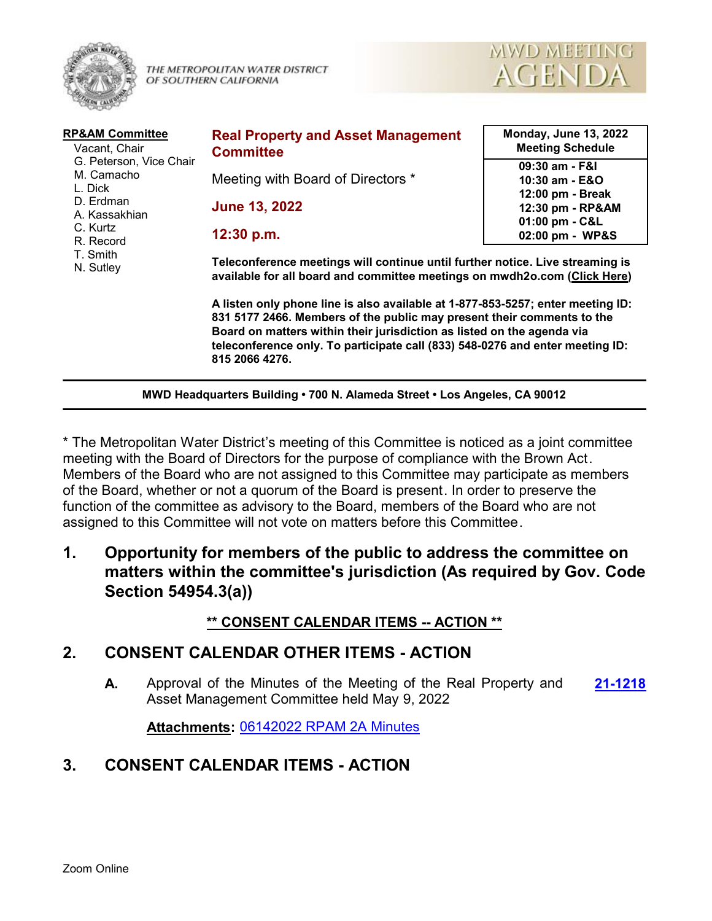

THE METROPOLITAN WATER DISTRICT OF SOUTHERN CALIFORNIA



| <b>RP&amp;AM Committee</b><br>Vacant, Chair<br>G. Peterson, Vice Chair<br>M. Camacho<br>L. Dick<br>D. Erdman<br>A. Kassakhian<br>C. Kurtz<br>R. Record<br>T. Smith<br>N. Sutley | <b>Real Property and Asset Management</b><br><b>Committee</b>                                                                                                                                                                                                                                                                          | <b>Monday, June 13, 2022</b><br><b>Meeting Schedule</b> |
|---------------------------------------------------------------------------------------------------------------------------------------------------------------------------------|----------------------------------------------------------------------------------------------------------------------------------------------------------------------------------------------------------------------------------------------------------------------------------------------------------------------------------------|---------------------------------------------------------|
|                                                                                                                                                                                 | Meeting with Board of Directors *                                                                                                                                                                                                                                                                                                      | 09:30 am - F&I<br>10:30 am - E&O<br>12:00 pm - Break    |
|                                                                                                                                                                                 | <b>June 13, 2022</b><br>12:30 p.m.                                                                                                                                                                                                                                                                                                     | 12:30 pm - RP&AM<br>01:00 pm - C&L<br>02:00 pm - WP&S   |
|                                                                                                                                                                                 | Teleconference meetings will continue until further notice. Live streaming is<br>available for all board and committee meetings on mwdh2o.com (Click Here)                                                                                                                                                                             |                                                         |
|                                                                                                                                                                                 | A listen only phone line is also available at 1-877-853-5257; enter meeting ID:<br>831 5177 2466. Members of the public may present their comments to the<br>Board on matters within their jurisdiction as listed on the agenda via<br>teleconference only. To participate call (833) 548-0276 and enter meeting ID:<br>815 2066 4276. |                                                         |

**MWD Headquarters Building • 700 N. Alameda Street • Los Angeles, CA 90012**

\* The Metropolitan Water District's meeting of this Committee is noticed as a joint committee meeting with the Board of Directors for the purpose of compliance with the Brown Act. Members of the Board who are not assigned to this Committee may participate as members of the Board, whether or not a quorum of the Board is present. In order to preserve the function of the committee as advisory to the Board, members of the Board who are not assigned to this Committee will not vote on matters before this Committee.

**1. Opportunity for members of the public to address the committee on matters within the committee's jurisdiction (As required by Gov. Code Section 54954.3(a))**

#### **\*\* CONSENT CALENDAR ITEMS -- ACTION \*\***

#### **2. CONSENT CALENDAR OTHER ITEMS - ACTION**

**A.** Approval of the Minutes of the Meeting of the Real Property and **[21-1218](http://mwdh2o.legistar.com/gateway.aspx?m=l&id=/matter.aspx?key=2310)** Asset Management Committee held May 9, 2022

**Attachments:** [06142022 RPAM 2A Minutes](http://mwdh2o.legistar.com/gateway.aspx?M=F&ID=03c1cf0b-1b03-42c5-8fb9-e4e50d0a38eb.pdf)

### **3. CONSENT CALENDAR ITEMS - ACTION**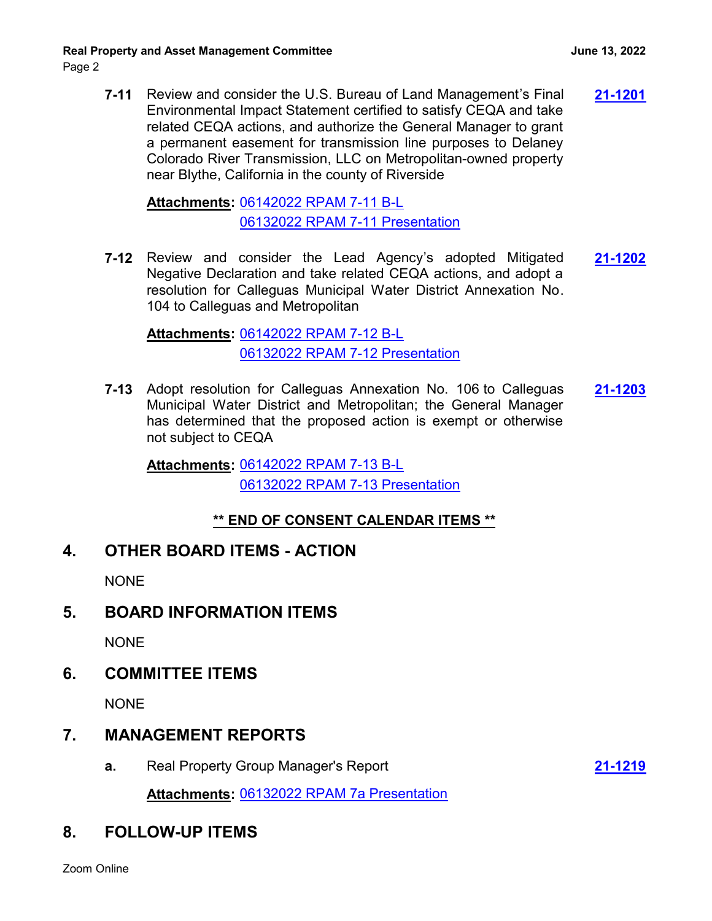**7-11** Review and consider the U.S. Bureau of Land Management's Final **[21-1201](http://mwdh2o.legistar.com/gateway.aspx?m=l&id=/matter.aspx?key=2293)** Environmental Impact Statement certified to satisfy CEQA and take related CEQA actions, and authorize the General Manager to grant a permanent easement for transmission line purposes to Delaney Colorado River Transmission, LLC on Metropolitan-owned property near Blythe, California in the county of Riverside

[06142022 RPAM 7-11 B-L](http://mwdh2o.legistar.com/gateway.aspx?M=F&ID=ec8ba98d-a385-4e24-a0c5-75d336cc01a8.pdf) **Attachments:** [06132022 RPAM 7-11 Presentation](http://mwdh2o.legistar.com/gateway.aspx?M=F&ID=6532325b-0bbd-46a1-9db6-d0017075c132.pdf)

**7-12** Review and consider the Lead Agency's adopted Mitigated **[21-1202](http://mwdh2o.legistar.com/gateway.aspx?m=l&id=/matter.aspx?key=2294)** Negative Declaration and take related CEQA actions, and adopt a resolution for Calleguas Municipal Water District Annexation No. 104 to Calleguas and Metropolitan

[06142022 RPAM 7-12 B-L](http://mwdh2o.legistar.com/gateway.aspx?M=F&ID=39cdd997-b6e7-4744-a58c-9dd3083f0b40.pdf) **Attachments:** [06132022 RPAM 7-12 Presentation](http://mwdh2o.legistar.com/gateway.aspx?M=F&ID=30ff5635-b644-4af8-ad5e-84be167f25c7.pdf)

**7-13** Adopt resolution for Calleguas Annexation No. 106 to Calleguas **[21-1203](http://mwdh2o.legistar.com/gateway.aspx?m=l&id=/matter.aspx?key=2295)** Municipal Water District and Metropolitan; the General Manager has determined that the proposed action is exempt or otherwise not subject to CEQA

[06142022 RPAM 7-13 B-L](http://mwdh2o.legistar.com/gateway.aspx?M=F&ID=c7a844ff-afc5-42b6-b89f-35b85c75248a.pdf) **Attachments:** [06132022 RPAM 7-13 Presentation](http://mwdh2o.legistar.com/gateway.aspx?M=F&ID=24343cf7-0fc8-4703-ac4d-4229537b776f.pdf)

### **\*\* END OF CONSENT CALENDAR ITEMS \*\***

### **4. OTHER BOARD ITEMS - ACTION**

**NONE** 

### **5. BOARD INFORMATION ITEMS**

NONE

### **6. COMMITTEE ITEMS**

**NONE** 

### **7. MANAGEMENT REPORTS**

**a.** Real Property Group Manager's Report **[21-1219](http://mwdh2o.legistar.com/gateway.aspx?m=l&id=/matter.aspx?key=2311)**

**Attachments:** [06132022 RPAM 7a Presentation](http://mwdh2o.legistar.com/gateway.aspx?M=F&ID=d0020697-87cc-41af-91e3-524425cc3760.pdf)

## **8. FOLLOW-UP ITEMS**

Zoom Online